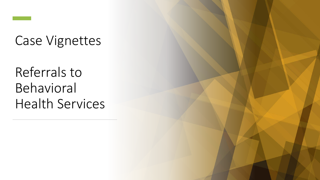

### Case Vignettes

Referrals to Behavioral Health Services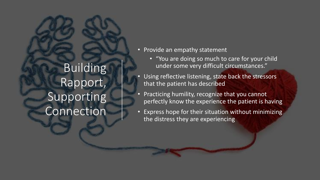## Building Rapport, Supporting Connection

- Provide an empathy statement
	- "You are doing so much to care for your child under some very difficult circumstances."
- Using reflective listening, state back the stressors that the patient has described
- Practicing humility, recognize that you cannot perfectly know the experience the patient is having
- Express hope for their situation without minimizing the distress they are experiencing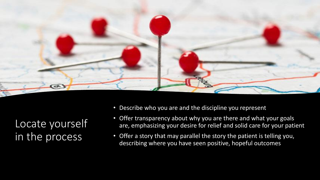

Locate yourself in the process

- Describe who you are and the discipline you represent
- Offer transparency about why you are there and what your goals are, emphasizing your desire for relief and solid care for your patient
- Offer a story that may parallel the story the patient is telling you, describing where you have seen positive, hopeful outcomes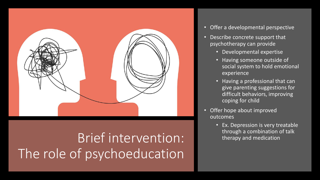

# Brief intervention: The role of psychoeducation

- Offer a developmental perspective
- Describe concrete support that psychotherapy can provide
	- Developmental expertise
	- Having someone outside of social system to hold emotional experience
	- Having a professional that can give parenting suggestions for difficult behaviors, improving coping for child
- Offer hope about improved outcomes
	- Ex. Depression is very treatable through a combination of talk therapy and medication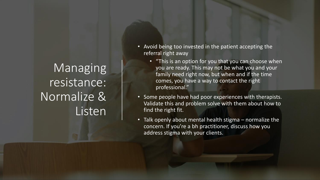Managing resistance: Normalize & Listen

- Avoid being too invested in the patient accepting the referral right away
	- "This is an option for you that you can choose when you are ready. This may not be what you and your family need right now, but when and if the time comes, you have a way to contact the right professional."
- Some people have had poor experiences with therapists. Validate this and problem solve with them about how to find the right fit.
- Talk openly about mental health stigma normalize the concern. If you're a bh practitioner, discuss how you address stigma with your clients.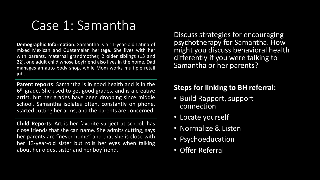### Case 1: Samantha

**Demographic Information:** Samantha is a 11-year-old Latina of mixed Mexican and Guatemalan heritage. She lives with her with parents, maternal grandmother, 2 older siblings (13 and 22), one adult child whose boyfriend also lives in the home. Dad manages an auto body shop, while Mom works multiple retail jobs.

**Parent reports**: Samantha is in good health and is in the 6<sup>th</sup> grade. She used to get good grades, and is a creative artist, but her grades have been dropping since middle school. Samantha isolates often, constantly on phone, started cutting her arms, and the parents are concerned.

**Child Reports**: Art is her favorite subject at school, has close friends that she can name. She admits cutting, says her parents are "never home" and that she is close with her 13-year-old sister but rolls her eyes when talking about her oldest sister and her boyfriend.

Discuss strategies for encouraging psychotherapy for Samantha. How might you discuss behavioral health differently if you were talking to Samantha or her parents?

#### **Steps for linking to BH referral:**

- Build Rapport, support connection
- Locate yourself
- Normalize & Listen
- Psychoeducation
- Offer Referral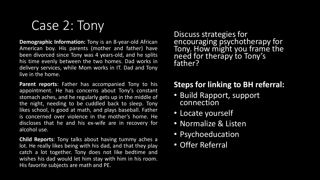Case 2: Tony

**Demographic Information:** Tony is an 8-year-old African American boy. His parents (mother and father) have been divorced since Tony was 4 years-old, and he splits his time evenly between the two homes. Dad works in delivery services, while Mom works in IT. Dad and Tony live in the home.

**Parent reports**: Father has accompanied Tony to his appointment. He has concerns about Tony's constant stomach aches, and he regularly gets up in the middle of the night, needing to be cuddled back to sleep. Tony likes school, is good at math, and plays baseball. Father is concerned over violence in the mother's home. He discloses that he and his ex-wife are in recovery for alcohol use.

**Child Reports**: Tony talks about having tummy aches a lot. He really likes being with his dad, and that they play catch a lot together. Tony does not like bedtime and wishes his dad would let him stay with him in his room. His favorite subjects are math and PE.

Discuss strategies for encouraging psychotherapy for Tony. How might you frame the need for therapy to Tony's father?

### **Steps for linking to BH referral:**

- Build Rapport, support connection
- Locate yourself
- Normalize & Listen
- Psychoeducation
- Offer Referral